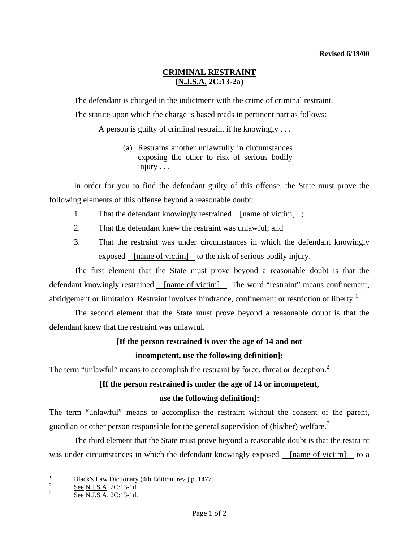## **CRIMINAL RESTRAINT (N.J.S.A. 2C:13-2a)**

The defendant is charged in the indictment with the crime of criminal restraint.

The statute upon which the charge is based reads in pertinent part as follows:

A person is guilty of criminal restraint if he knowingly . . .

 (a) Restrains another unlawfully in circumstances exposing the other to risk of serious bodily injury . . .

 In order for you to find the defendant guilty of this offense, the State must prove the following elements of this offense beyond a reasonable doubt:

- 1. That the defendant knowingly restrained <u>[name of victim]</u>;
- 2. That the defendant knew the restraint was unlawful; and
- 3. That the restraint was under circumstances in which the defendant knowingly exposed [name of victim] to the risk of serious bodily injury.

 The first element that the State must prove beyond a reasonable doubt is that the defendant knowingly restrained <u>[name of victim]</u> . The word "restraint" means confinement, abridgement or limitation. Restraint involves hindrance, confinement or restriction of liberty.<sup>[1](#page-0-0)</sup>

 The second element that the State must prove beyond a reasonable doubt is that the defendant knew that the restraint was unlawful.

## **[If the person restrained is over the age of 14 and not**

## **incompetent, use the following definition]:**

The term "unlawful" means to accomplish the restraint by force, threat or deception.<sup>[2](#page-0-1)</sup>

# **[If the person restrained is under the age of 14 or incompetent,**

### **use the following definition]:**

The term "unlawful" means to accomplish the restraint without the consent of the parent, guardian or other person responsible for the general supervision of (his/her) welfare.<sup>[3](#page-0-2)</sup>

 The third element that the State must prove beyond a reasonable doubt is that the restraint was under circumstances in which the defendant knowingly exposed [name of victim] to a

<sup>|&</sup>lt;br>|<br>| Black's Law Dictionary (4th Edition, rev.) p. 1477.

<span id="page-0-3"></span><span id="page-0-1"></span><span id="page-0-0"></span> $rac{2}{3}$  See N.J.S.A. 2C:13-1d.<br>See N.J.S.A. 2C:13-1d.

<span id="page-0-2"></span>